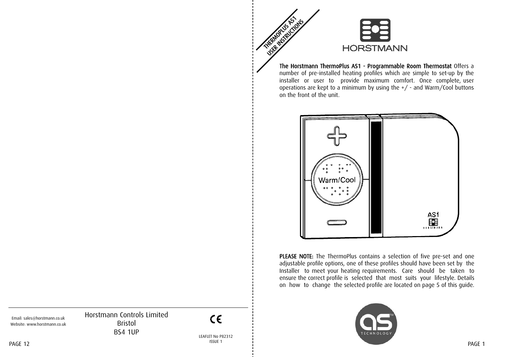

The Horstmann ThermoPlus AS1 - Programmable Room Thermostat Offers a number of pre-installed heating profiles which are simple to set-up by the installer or user to provide maximum comfort. Once complete, user operations are kept to a minimum by using the +/ - and Warm/Cool buttons on the front of the unit.



PLEASE NOTE: The ThermoPlus contains a selection of five pre-set and one adjustable profile options, one of these profiles should have been set by the Installer to meet your heating requirements. Care should be taken to ensure the correct profile is selected that most suits your lifestyle. Details on how to change the selected profile are located on page 5 of this guide.



Horstmann Controls Limited Bristol BS4 1UP

 $C \in$ 

LEAFLET No P82312 ISSUE 1

Email: sales@horstmann.co.uk Website: www.horstmann.co.uk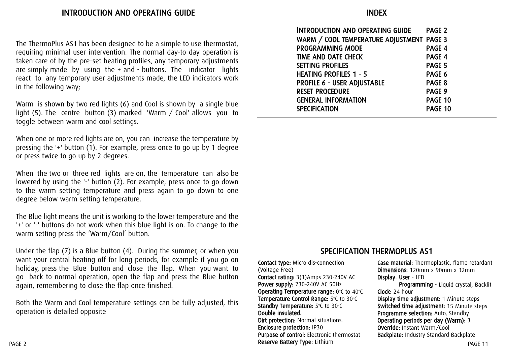The ThermoPlus AS1 has been designed to be a simple to use thermostat, requiring minimal user intervention. The normal day-to day operation is taken care of by the pre-set heating profiles, any temporary adjustments are simply made by using the + and - buttons. The indicator lights react to any temporary user adjustments made, the LED indicators work in the following way;

Warm is shown by two red lights (6) and Cool is shown by a single blue light (5). The centre button (3) marked 'Warm / Cool' allows you to toggle between warm and cool settings.

When one or more red lights are on, you can increase the temperature by pressing the '+' button (1). For example, press once to go up by 1 degree or press twice to go up by 2 degrees.

When the two or three red lights are on, the temperature can also be lowered by using the '-' button (2). For example, press once to go down to the warm setting temperature and press again to go down to one degree below warm setting temperature.

The Blue light means the unit is working to the lower temperature and the '+' or '-' buttons do not work when this blue light is on. To change to the warm setting press the 'Warm/Cool' button.

Under the flap (7) is a Blue button (4). During the summer, or when you want your central heating off for long periods, for example if you go on holiday, press the Blue button and close the flap. When you want to go back to normal operation, open the flap and press the Blue button again, remembering to close the flap once finished.

Both the Warm and Cool temperature settings can be fully adjusted, this operation is detailed opposite

| INTRODUCTION AND OPERATING GUIDE          | PAGE <sub>2</sub> |
|-------------------------------------------|-------------------|
| WARM / COOL TEMPERATURE ADJUSTMENT PAGE 3 |                   |
| <b>PROGRAMMING MODE</b>                   | PAGE 4            |
| <b>TIME AND DATE CHECK</b>                | PAGE 4            |
| <b>SETTING PROFILES</b>                   | PAGE 5            |
| <b>HEATING PROFILES 1 - 5</b>             | PAGE 6            |
| PROFILE 6 - USER ADJUSTABLE               | PAGE 8            |
| <b>RESET PROCEDURE</b>                    | PAGE 9            |
| <b>GENERAL INFORMATION</b>                | PAGE 10           |
| <b>SPECIFICATION</b>                      | PAGE 10           |
|                                           |                   |

#### SPECIFICATION THERMOPLUS AS1

Contact type: Micro dis-connection (Voltage Free) Contact rating: 3(1)Amps 230-240V AC Power supply: 230-240V AC 50Hz Operating Temperature range:  $0^{\circ}$ C to  $40^{\circ}$ C Temperature Control Range: 5°C to 30°C Standby Temperature: 5°C to 30°C Double insulated. Dirt protection: Normal situations. Enclosure protection: IP30 Purpose of control: Electronic thermostat Reserve Battery Type: Lithium

Case material: Thermoplastic, flame retardant Dimensions: 120mm x 90mm x 32mm Display: User - LED Programming - Liquid crystal, Backlit

Clock: 24 hour Display time adjustment: 1 Minute steps

Switched time adjustment: 15 Minute steps Programme selection: Auto, Standby Operating periods per day (Warm): 3 Override: Instant Warm/Cool Backplate: Industry Standard Backplate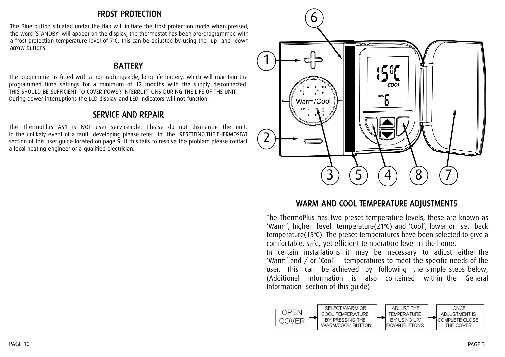#### FROST PROTECTION

The Blue button situated under the flap will initiate the frost protection mode when pressed, the word 'STANDBY' will appear on the display, the thermostat has been pre-programmed with a frost protection temperature level of  $7^{\circ}$ C, this can be adjusted by using the up and down arrow buttons.

#### **BATTERY**

The programmer is fitted with a non-rechargeable, long life battery, which will maintain the programmed time settings for a minimum of 12 months with the supply disconnected. THIS SHOULD BE SUFFICIENT TO COVER POWER INTERRUPTIONS DURING THE LIFE OF THE UNIT. During power interruptions the LCD display and LED indicators will not function.

### SERVICE AND REPAIR

The ThermoPlus AS1 is NOT user serviceable. Please do not dismantle the unit. In the unlikely event of a fault developing please refer to the RESETTING THE THERMOSTAT section of this user guide located on page 9. If this fails to resolve the problem please contact a local heating engineer or a qualified electrician.



#### WARM AND COOL TEMPERATURE ADJUSTMENTS

The ThermoPlus has two preset temperature levels, these are known as 'Warm', higher level temperature(21°C) and 'Cool', lower or set back temperature(15°C). The preset temperatures have been selected to give a comfortable, safe, yet efficient temperature level in the home.

In certain installations it may be necessary to adjust either the 'Warm' and / or 'Cool' temperatures to meet the specific needs of the user. This can be achieved by following the simple steps below; (Additional information is also contained within the General Information section of this guide)

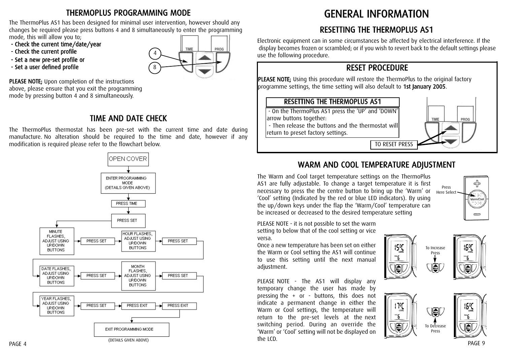# THERMOPLUS PROGRAMMING MODE

The ThermoPlus AS1 has been designed for minimal user intervention, however should any changes be required please press buttons 4 and 8 simultaneously to enter the programming mode, this will allow you to;

- Check the current time/date/year
- Check the current profile
- Set a new pre-set profile or
- Set a user defined profile



PLEASE NOTE; Upon completion of the instructions above, please ensure that you exit the programming mode by pressing button 4 and 8 simultaneously.

# TIME AND DATE CHECK

The ThermoPlus thermostat has been pre-set with the current time and date during manufacture. No alteration should be required to the time and date, however if any modification is required please refer to the flowchart below.



# GENERAL INFORMATION

# RESETTING THE THERMOPLUS AS1

Electronic equipment can in some circumstances be affected by electrical interference. If the display becomes frozen or scrambled; or if you wish to revert back to the default settings please use the following procedure.

# RESET PROCEDURE

PLEASE NOTE; Using this procedure will restore the ThermoPlus to the original factory programme settings, the time setting will also default to 1st January 2005.

#### RESETTING THE THERMOPLUS AS1

- On the ThermoPlus AS1 press the 'UP' and 'DOWN' arrow buttons together:

- Then release the buttons and the thermostat will return to preset factory settings.



# WARM AND COOL TEMPERATURE ADJUSTMENT

The Warm and Cool target temperature settings on the ThermoPlus AS1 are fully adjustable. To change a target temperature it is first necessary to press the the centre button to bring up the 'Warm' or 'Cool' setting (Indicated by the red or blue LED indicators). By using the up/down keys under the flap the 'Warm/Cool' temperature can be increased or decreased to the desired temperature setting

PLEASE NOTE - it is not possible to set the warm setting to below that of the cool setting or vice

Once a new temperature has been set on either the Warm or Cool setting the AS1 will continue to use this setting until the next manual adjustment.

versa.

PLEASE NOTE - The AS1 will display any temporary change the user has made by pressing the + or - buttons, this does not indicate a permanent change in either the Warm or Cool settings, the temperature will return to the pre-set levels at the next switching period. During an override the 'Warm' or 'Cool' setting will not be displayed on the LCD.







15°C ◙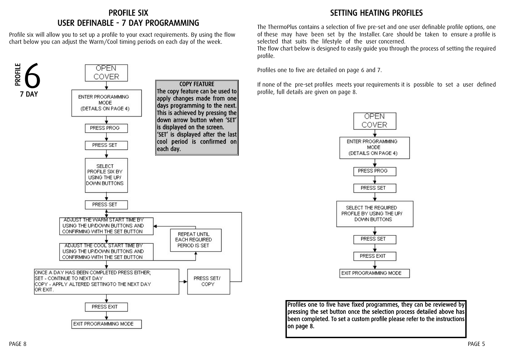#### PROFILE SIX USER DEFINABLE - 7 DAY PROGRAMMING

Profile six will allow you to set up a profile to your exact requirements. By using the flow chart below you can adjust the Warm/Cool timing periods on each day of the week.



# SETTING HEATING PROFILES

The ThermoPlus contains a selection of five pre-set and one user definable profile options, one of these may have been set by the Installer. Care should be taken to ensure a profile is selected that suits the lifestyle of the user concerned.

The flow chart below is designed to easily guide you through the process of setting the required profile.

Profiles one to five are detailed on page 6 and 7.

If none of the pre-set profiles meets your requirements it is possible to set a user defined profile, full details are given on page 8.



Profiles one to five have fixed programmes, they can be reviewed by pressing the set button once the selection process detailed above has been completed. To set a custom profile please refer to the instructions on page 8.